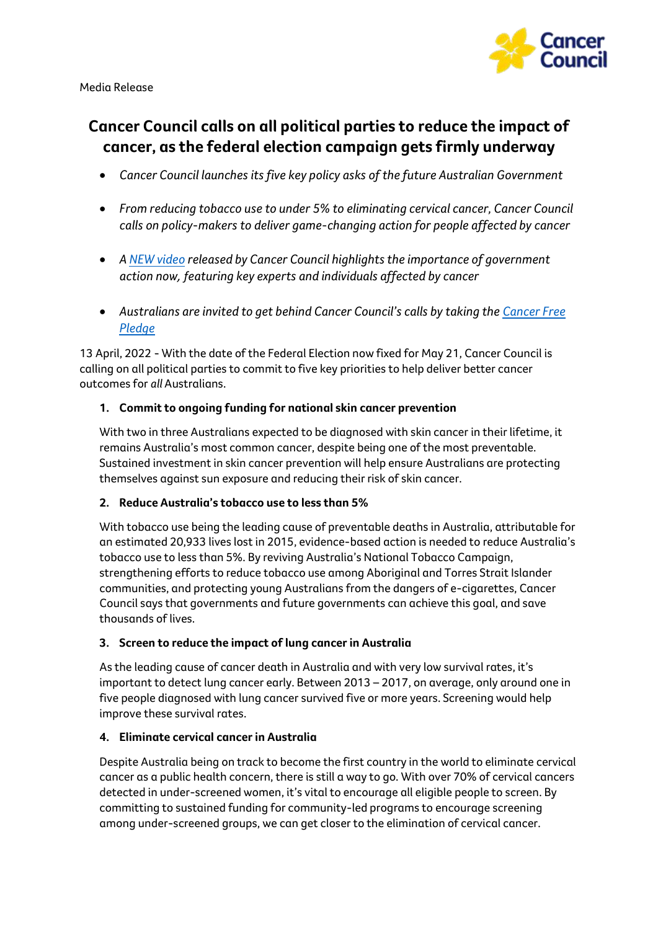

Media Release

# **Cancer Council calls on all political parties to reduce the impact of cancer, as the federal election campaign gets firmly underway**

- *Cancer Council launches itsfive key policy asks of the future Australian Government*
- *From reducing tobacco use to under 5% to eliminating cervical cancer, Cancer Council calls on policy-makers to deliver game-changing action for people affected by cancer*
- *A [NEW video](https://www.youtube.com/watch?v=db5OqI_E0q0) released by Cancer Council highlightsthe importance of government action now, featuring key experts and individuals affected by cancer*
- Australians are invited to get behind Cancer Council's calls by taking the Cancer Free *[Pledge](https://www.cancer.org.au/take-the-pledge)*

13 April, 2022 - With the date of the Federal Election now fixed for May 21, Cancer Council is calling on all political parties to commit to five key priorities to help deliver better cancer outcomes for *all* Australians.

## **1. Commit to ongoing funding for national skin cancer prevention**

With two in three Australians expected to be diagnosed with skin cancer in their lifetime, it remains Australia's most common cancer, despite being one of the most preventable. Sustained investment in skin cancer prevention will help ensure Australians are protecting themselves against sun exposure and reducing their risk of skin cancer.

### **2. Reduce Australia's tobacco use to less than 5%**

With tobacco use being the leading cause of preventable deaths in Australia, attributable for an estimated 20,933 lives lost in 2015, evidence-based action is needed to reduce Australia's tobacco use to less than 5%. By reviving Australia's National Tobacco Campaign, strengthening efforts to reduce tobacco use among Aboriginal and Torres Strait Islander communities, and protecting young Australians from the dangers of e-cigarettes, Cancer Council says that governments and future governments can achieve this goal, and save thousands of lives.

## **3. Screen to reduce the impact of lung cancer in Australia**

As the leading cause of cancer death in Australia and with very low survival rates, it's important to detect lung cancer early. Between 2013 – 2017, on average, only around one in five people diagnosed with lung cancer survived five or more years. Screening would help improve these survival rates.

### **4. Eliminate cervical cancer in Australia**

Despite Australia being on track to become the first country in the world to eliminate cervical cancer as a public health concern, there is still a way to go. With over 70% of cervical cancers detected in under-screened women, it's vital to encourage all eligible people to screen. By committing to sustained funding for community-led programs to encourage screening among under-screened groups, we can get closer to the elimination of cervical cancer.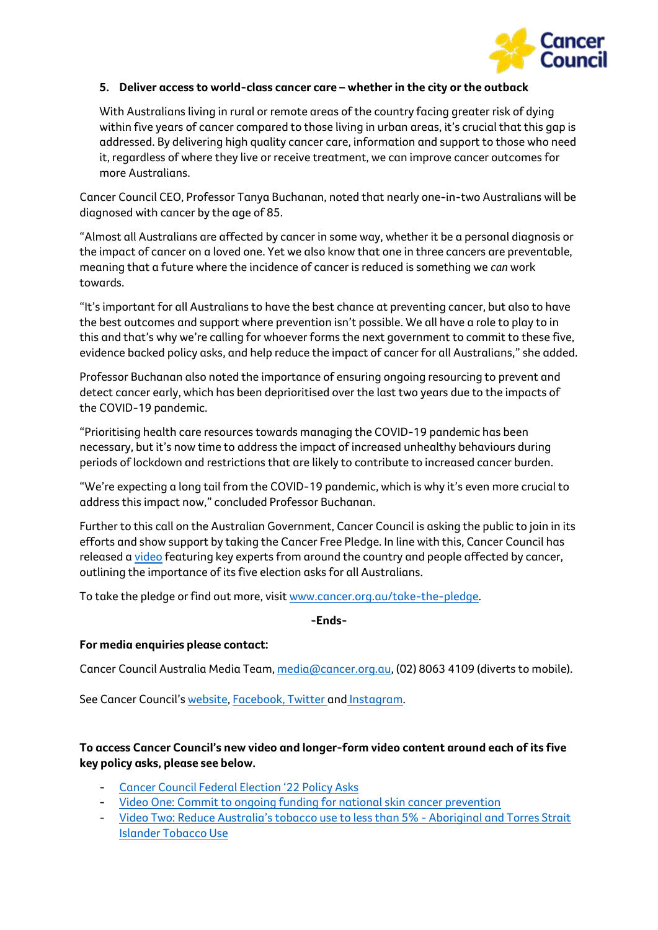

### **5. Deliver access to world-class cancer care – whether in the city or the outback**

With Australians living in rural or remote areas of the country facing greater risk of dying within five years of cancer compared to those living in urban areas, it's crucial that this gap is addressed. By delivering high quality cancer care, information and support to those who need it, regardless of where they live or receive treatment, we can improve cancer outcomes for more Australians.

Cancer Council CEO, Professor Tanya Buchanan, noted that nearly one-in-two Australians will be diagnosed with cancer by the age of 85.

"Almost all Australians are affected by cancer in some way, whether it be a personal diagnosis or the impact of cancer on a loved one. Yet we also know that one in three cancers are preventable, meaning that a future where the incidence of cancer is reduced is something we *can* work towards.

"It's important for all Australians to have the best chance at preventing cancer, but also to have the best outcomes and support where prevention isn't possible. We all have a role to play to in this and that's why we're calling for whoever forms the next government to commit to these five, evidence backed policy asks, and help reduce the impact of cancer for all Australians," she added.

Professor Buchanan also noted the importance of ensuring ongoing resourcing to prevent and detect cancer early, which has been deprioritised over the last two years due to the impacts of the COVID-19 pandemic.

"Prioritising health care resources towards managing the COVID-19 pandemic has been necessary, but it's now time to address the impact of increased unhealthy behaviours during periods of lockdown and restrictions that are likely to contribute to increased cancer burden.

"We're expecting a long tail from the COVID-19 pandemic, which is why it's even more crucial to address this impact now," concluded Professor Buchanan.

Further to this call on the Australian Government, Cancer Council is asking the public to join in its efforts and show support by taking the Cancer Free Pledge. In line with this, Cancer Council has released a [video](https://www.youtube.com/watch?v=db5OqI_E0q0) featuring key experts from around the country and people affected by cancer, outlining the importance of its five election asks for all Australians.

To take the pledge or find out more, visit [www.cancer.org.au/take-the-pledge.](http://www.cancer.org.au/take-the-pledge)

**-Ends-**

### **For media enquiries please contact:**

Cancer Council Australia Media Team, [media@cancer.org.au,](mailto:media@cancer.org.au) (02) 8063 4109 (diverts to mobile).

See Cancer Council's [website,](https://www.cancer.org.au/) [Facebook,](https://www.facebook.com/cancercouncilaustralia) [Twitter](https://twitter.com/cancercounciloz) and [Instagram.](https://www.instagram.com/cancercouncil/?hl=en)

## **To access Cancer Council's new video and longer-form video content around each of its five key policy asks, please see below.**

- [Cancer Council](https://www.youtube.com/watch?v=db5OqI_E0q0) Federal Election '22 Policy Asks
- [Video One: Commit to ongoing funding for national skin cancer prevention](https://www.youtube.com/watch?v=Aa3BjjC34ac)
- [Video Two: Reduce Australia's tobacco use to les](https://www.youtube.com/watch?v=0ynWS4HHds4)s than 5% Aboriginal and Torres Strait [Islander Tobacco Use](https://www.youtube.com/watch?v=0ynWS4HHds4)